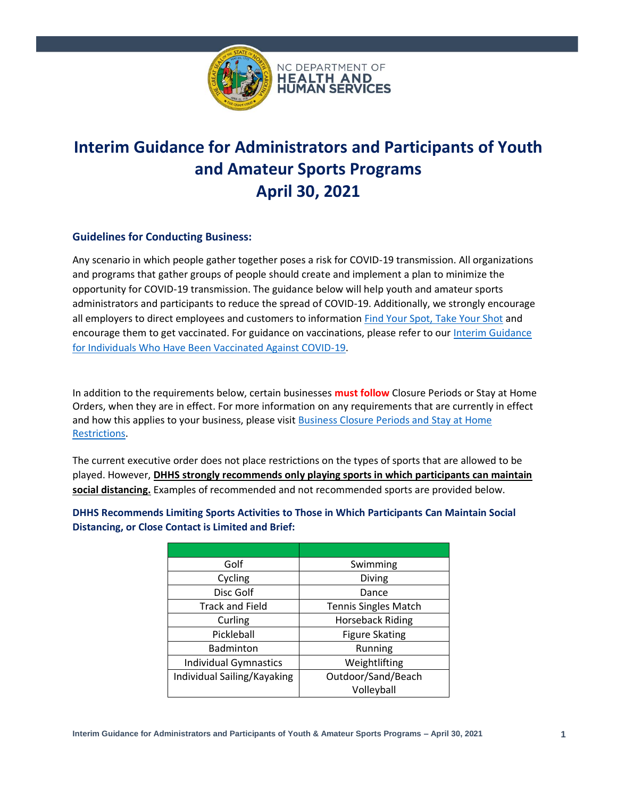

# **Interim Guidance for Administrators and Participants of Youth and Amateur Sports Programs April 30, 2021**

### **Guidelines for Conducting Business:**

Any scenario in which people gather together poses a risk for COVID-19 transmission. All organizations and programs that gather groups of people should create and implement a plan to minimize the opportunity for COVID-19 transmission. The guidance below will help youth and amateur sports administrators and participants to reduce the spread of COVID-19. Additionally, we strongly encourage all employers to direct employees and customers to information [Find Your Spot, Take Your Shot](https://covid19.ncdhhs.gov/vaccines/find-your-spot-take-your-shot) and encourage them to get vaccinated. For guidance on vaccinations, please refer to our [Interim Guidance](https://covid19.ncdhhs.gov/media/1502/download)  [for Individuals Who Have Been Vaccinated Against COVID-19.](https://covid19.ncdhhs.gov/media/1502/download)

In addition to the requirements below, certain businesses **must follow** Closure Periods or Stay at Home Orders, when they are in effect. For more information on any requirements that are currently in effect and how this applies to your business, please visit [Business Closure Periods and Stay at Home](https://files.nc.gov/covid/documents/guidance/Business-Closure-Periods-and-Stay-at-Home-Restrictions.pdf)  [Restrictions.](https://files.nc.gov/covid/documents/guidance/Business-Closure-Periods-and-Stay-at-Home-Restrictions.pdf)

The current executive order does not place restrictions on the types of sports that are allowed to be played. However, **DHHS strongly recommends only playing sports in which participants can maintain social distancing.** Examples of recommended and not recommended sports are provided below.

| Golf                         | Swimming                    |
|------------------------------|-----------------------------|
| Cycling                      | Diving                      |
| Disc Golf                    | Dance                       |
| <b>Track and Field</b>       | <b>Tennis Singles Match</b> |
| Curling                      | <b>Horseback Riding</b>     |
| Pickleball                   | <b>Figure Skating</b>       |
| <b>Badminton</b>             | Running                     |
| <b>Individual Gymnastics</b> | Weightlifting               |
| Individual Sailing/Kayaking  | Outdoor/Sand/Beach          |
|                              | Volleyball                  |

**DHHS Recommends Limiting Sports Activities to Those in Which Participants Can Maintain Social Distancing, or Close Contact is Limited and Brief:**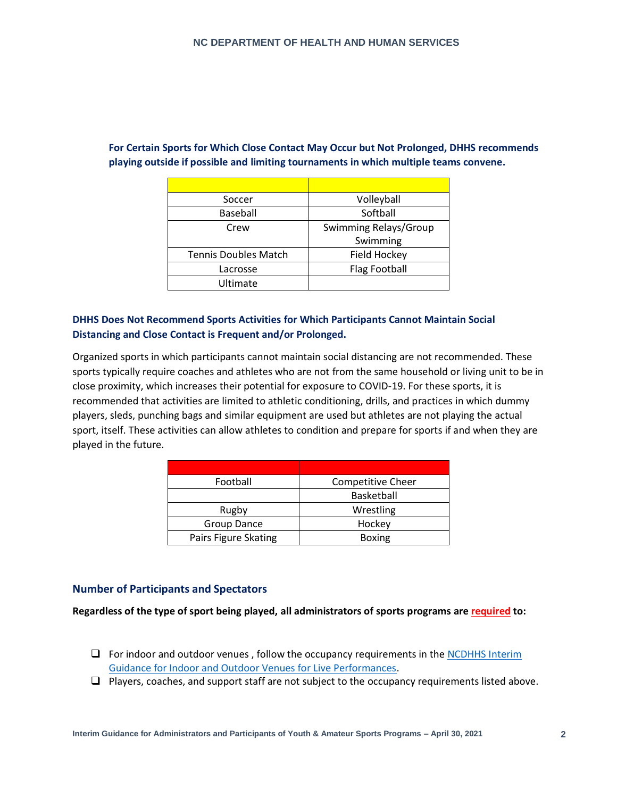| Soccer                      | Volleyball            |
|-----------------------------|-----------------------|
| Baseball                    | Softball              |
| Crew                        | Swimming Relays/Group |
|                             | Swimming              |
| <b>Tennis Doubles Match</b> | Field Hockey          |
| Lacrosse                    | <b>Flag Football</b>  |
| Ultimate                    |                       |

# **For Certain Sports for Which Close Contact May Occur but Not Prolonged, DHHS recommends playing outside if possible and limiting tournaments in which multiple teams convene.**

### **DHHS Does Not Recommend Sports Activities for Which Participants Cannot Maintain Social Distancing and Close Contact is Frequent and/or Prolonged.**

Organized sports in which participants cannot maintain social distancing are not recommended. These sports typically require coaches and athletes who are not from the same household or living unit to be in close proximity, which increases their potential for exposure to COVID-19. For these sports, it is recommended that activities are limited to athletic conditioning, drills, and practices in which dummy players, sleds, punching bags and similar equipment are used but athletes are not playing the actual sport, itself. These activities can allow athletes to condition and prepare for sports if and when they are played in the future.

| Football             | <b>Competitive Cheer</b> |
|----------------------|--------------------------|
|                      | Basketball               |
| Rugby                | Wrestling                |
| <b>Group Dance</b>   | Hockey                   |
| Pairs Figure Skating | <b>Boxing</b>            |

## **Number of Participants and Spectators**

**Regardless of the type of sport being played, all administrators of sports programs are required to:**

- ❑ For indoor and outdoor venues , follow the occupancy requirements in the [NCDHHS Interim](https://covid19.ncdhhs.gov/ncdhhs-interim-guidance-very-large-venues/download)  [Guidance for Indoor and Outdoor Venues for Live Performances.](https://covid19.ncdhhs.gov/ncdhhs-interim-guidance-very-large-venues/download)
- ❑ Players, coaches, and support staff are not subject to the occupancy requirements listed above.